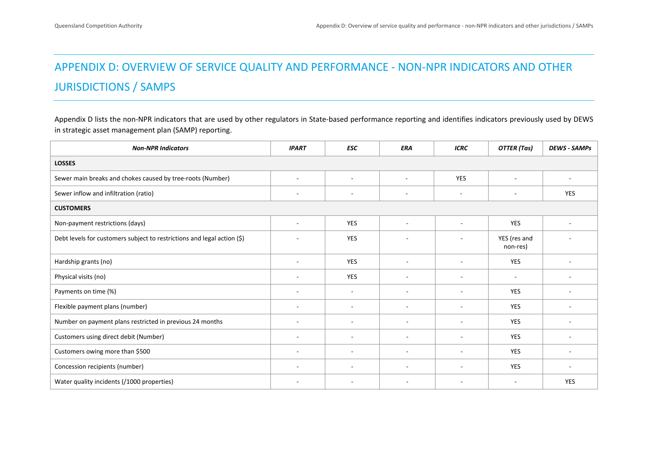## APPENDIX D: OVERVIEW OF SERVICE QUALITY AND PERFORMANCE ‐ NON‐NPR INDICATORS AND OTHER JURISDICTIONS / SAMPS

Appendix D lists the non-NPR indicators that are used by other regulators in State-based performance reporting and identifies indicators previously used by DEWS in strategic asset management plan (SAMP) reporting.

| <b>Non-NPR Indicators</b>                                               | <b>IPART</b>             | <b>ESC</b>               | ERA                      | <b>ICRC</b>              | <b>OTTER</b> (Tas)       | <b>DEWS - SAMPS</b> |
|-------------------------------------------------------------------------|--------------------------|--------------------------|--------------------------|--------------------------|--------------------------|---------------------|
| <b>LOSSES</b>                                                           |                          |                          |                          |                          |                          |                     |
| Sewer main breaks and chokes caused by tree-roots (Number)              | $\sim$                   | $\overline{a}$           | $\sim$                   | <b>YES</b>               |                          |                     |
| Sewer inflow and infiltration (ratio)                                   | $\overline{\phantom{a}}$ | $\blacksquare$           | $\overline{\phantom{a}}$ | $\overline{\phantom{a}}$ | $\overline{\phantom{a}}$ | <b>YES</b>          |
| <b>CUSTOMERS</b>                                                        |                          |                          |                          |                          |                          |                     |
| Non-payment restrictions (days)                                         | $\sim$                   | <b>YES</b>               | $\sim$                   | $\overline{a}$           | <b>YES</b>               | ٠                   |
| Debt levels for customers subject to restrictions and legal action (\$) |                          | <b>YES</b>               | $\blacksquare$           | $\blacksquare$           | YES (res and<br>non-res) |                     |
| Hardship grants (no)                                                    | $\overline{\phantom{a}}$ | <b>YES</b>               | $\overline{\phantom{a}}$ | $\blacksquare$           | <b>YES</b>               |                     |
| Physical visits (no)                                                    |                          | <b>YES</b>               |                          |                          |                          |                     |
| Payments on time (%)                                                    |                          | $\blacksquare$           | $\blacksquare$           | $\blacksquare$           | <b>YES</b>               |                     |
| Flexible payment plans (number)                                         | $\overline{\phantom{a}}$ | ٠                        | $\blacksquare$           | $\overline{\phantom{a}}$ | <b>YES</b>               |                     |
| Number on payment plans restricted in previous 24 months                |                          | $\blacksquare$           | $\overline{\phantom{a}}$ | $\overline{\phantom{a}}$ | <b>YES</b>               |                     |
| Customers using direct debit (Number)                                   |                          |                          | $\overline{\phantom{a}}$ |                          | YES                      |                     |
| Customers owing more than \$500                                         | $\sim$                   | $\overline{\phantom{a}}$ | $\overline{\phantom{a}}$ | $\blacksquare$           | YES                      |                     |
| Concession recipients (number)                                          |                          | $\overline{\phantom{a}}$ | $\overline{\phantom{a}}$ | ۰                        | <b>YES</b>               | -                   |
| Water quality incidents (/1000 properties)                              |                          | $\sim$                   | $\sim$                   | ٠                        | $\overline{\phantom{a}}$ | <b>YES</b>          |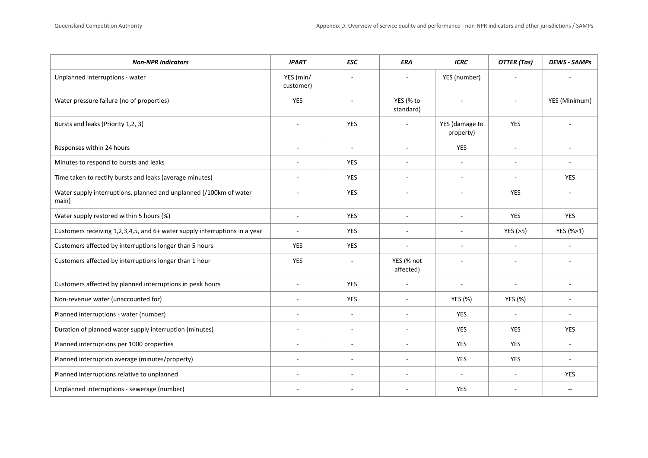| <b>Non-NPR Indicators</b>                                                   | <b>IPART</b>           | <b>ESC</b>     | <b>ERA</b>               | <b>ICRC</b>                 | <b>OTTER</b> (Tas)       | <b>DEWS - SAMPS</b> |
|-----------------------------------------------------------------------------|------------------------|----------------|--------------------------|-----------------------------|--------------------------|---------------------|
| Unplanned interruptions - water                                             | YES (min/<br>customer) |                |                          | YES (number)                |                          |                     |
| Water pressure failure (no of properties)                                   | YES                    |                | YES (% to<br>standard)   |                             |                          | YES (Minimum)       |
| Bursts and leaks (Priority 1,2, 3)                                          |                        | <b>YES</b>     | $\blacksquare$           | YES (damage to<br>property) | YES                      |                     |
| Responses within 24 hours                                                   | $\sim$                 | $\sim$         | $\overline{\phantom{a}}$ | YES                         | ÷,                       | $\sim$              |
| Minutes to respond to bursts and leaks                                      |                        | YES            | $\overline{a}$           |                             | ÷,                       |                     |
| Time taken to rectify bursts and leaks (average minutes)                    |                        | <b>YES</b>     | ÷.                       | ÷.                          | ÷.                       | <b>YES</b>          |
| Water supply interruptions, planned and unplanned (/100km of water<br>main) |                        | <b>YES</b>     |                          |                             | <b>YES</b>               |                     |
| Water supply restored within 5 hours (%)                                    | $\blacksquare$         | YES            | $\sim$                   | $\sim$                      | YES                      | <b>YES</b>          |
| Customers receiving 1,2,3,4,5, and 6+ water supply interruptions in a year  |                        | YES            | $\overline{a}$           | $\sim$                      | YES $(>5)$               | YES (%>1)           |
| Customers affected by interruptions longer than 5 hours                     | <b>YES</b>             | <b>YES</b>     | $\sim$                   | ÷.                          | L.                       |                     |
| Customers affected by interruptions longer than 1 hour                      | <b>YES</b>             |                | YES (% not<br>affected)  |                             |                          |                     |
| Customers affected by planned interruptions in peak hours                   | $\sim$                 | <b>YES</b>     | $\sim$                   | $\overline{\phantom{a}}$    | $\overline{\phantom{a}}$ | $\sim$              |
| Non-revenue water (unaccounted for)                                         | $\sim$                 | <b>YES</b>     | $\sim$                   | <b>YES (%)</b>              | <b>YES (%)</b>           | $\sim$              |
| Planned interruptions - water (number)                                      |                        | $\blacksquare$ | $\blacksquare$           | <b>YES</b>                  | ÷,                       | $\sim$              |
| Duration of planned water supply interruption (minutes)                     |                        |                |                          | <b>YES</b>                  | <b>YES</b>               | <b>YES</b>          |
| Planned interruptions per 1000 properties                                   | $\sim$                 | $\overline{a}$ | $\overline{a}$           | <b>YES</b>                  | YES                      | $\sim$              |
| Planned interruption average (minutes/property)                             | $\sim$                 | $\sim$         | $\sim$                   | <b>YES</b>                  | <b>YES</b>               | $\sim$              |
| Planned interruptions relative to unplanned                                 |                        | ä,             | ä,                       | $\sim$                      |                          | YES                 |
| Unplanned interruptions - sewerage (number)                                 |                        |                |                          | <b>YES</b>                  |                          | $-$                 |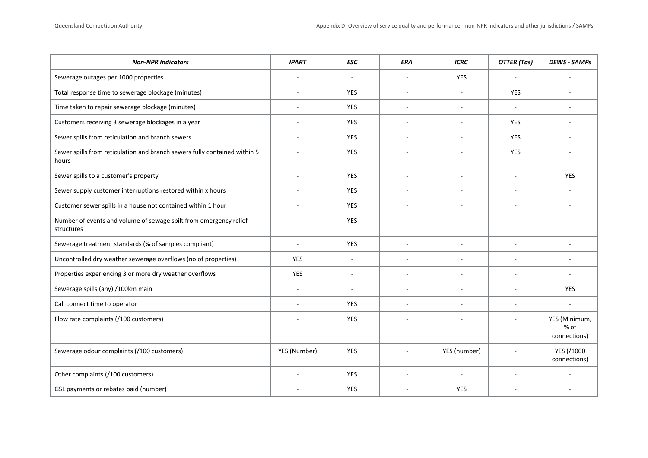| <b>Non-NPR Indicators</b>                                                          | <b>IPART</b> | <b>ESC</b>               | ERA                      | <b>ICRC</b>    | <b>OTTER</b> (Tas)       | <b>DEWS - SAMPS</b>                     |
|------------------------------------------------------------------------------------|--------------|--------------------------|--------------------------|----------------|--------------------------|-----------------------------------------|
| Sewerage outages per 1000 properties                                               |              | $\blacksquare$           | $\blacksquare$           | <b>YES</b>     | ÷                        |                                         |
| Total response time to sewerage blockage (minutes)                                 |              | YES                      | $\overline{\phantom{a}}$ | ÷.             | <b>YES</b>               |                                         |
| Time taken to repair sewerage blockage (minutes)                                   | $\sim$       | <b>YES</b>               | $\sim$                   | $\sim$         | $\sim$                   | $\sim$                                  |
| Customers receiving 3 sewerage blockages in a year                                 |              | YES                      | $\blacksquare$           | $\blacksquare$ | <b>YES</b>               |                                         |
| Sewer spills from reticulation and branch sewers                                   |              | YES                      |                          |                | <b>YES</b>               |                                         |
| Sewer spills from reticulation and branch sewers fully contained within 5<br>hours |              | YES                      |                          |                | <b>YES</b>               |                                         |
| Sewer spills to a customer's property                                              | $\sim$       | YES                      | $\overline{\phantom{a}}$ |                | $\bar{a}$                | <b>YES</b>                              |
| Sewer supply customer interruptions restored within x hours                        |              | <b>YES</b>               | ÷,                       |                | ä,                       |                                         |
| Customer sewer spills in a house not contained within 1 hour                       |              | <b>YES</b>               | $\sim$                   |                | $\overline{a}$           |                                         |
| Number of events and volume of sewage spilt from emergency relief<br>structures    |              | YES                      |                          |                |                          |                                         |
| Sewerage treatment standards (% of samples compliant)                              | $\sim$       | YES                      | $\sim$                   |                | $\overline{\phantom{a}}$ |                                         |
| Uncontrolled dry weather sewerage overflows (no of properties)                     | YES          | ÷,                       | $\sim$                   |                | ÷,                       |                                         |
| Properties experiencing 3 or more dry weather overflows                            | <b>YES</b>   | ÷,                       | ÷,                       |                | ä,                       |                                         |
| Sewerage spills (any) /100km main                                                  |              | $\overline{\phantom{a}}$ | $\overline{\phantom{a}}$ |                |                          | <b>YES</b>                              |
| Call connect time to operator                                                      | $\sim$       | YES                      | $\blacksquare$           | $\sim$         | ÷,                       | $\sim$                                  |
| Flow rate complaints (/100 customers)                                              |              | <b>YES</b>               |                          |                | L.                       | YES (Minimum,<br>$%$ of<br>connections) |
| Sewerage odour complaints (/100 customers)                                         | YES (Number) | YES                      | $\overline{\phantom{a}}$ | YES (number)   |                          | YES (/1000<br>connections)              |
| Other complaints (/100 customers)                                                  |              | <b>YES</b>               | $\overline{a}$           |                | ÷,                       |                                         |
| GSL payments or rebates paid (number)                                              |              | YES                      |                          | <b>YES</b>     |                          |                                         |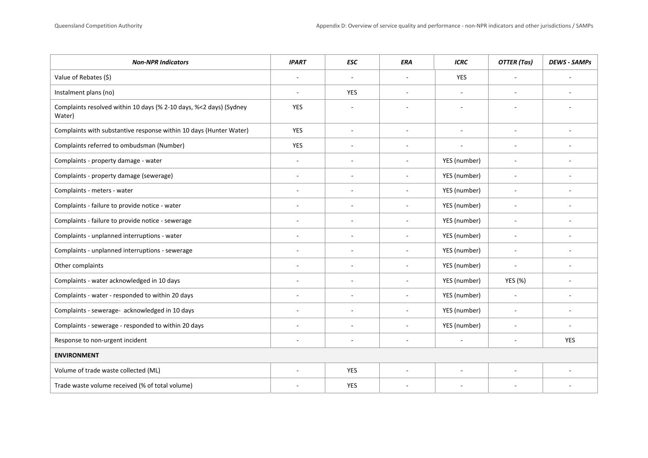| <b>Non-NPR Indicators</b>                                                    | <b>IPART</b> | <b>ESC</b>               | ERA                      | <b>ICRC</b>              | <b>OTTER</b> (Tas)       | <b>DEWS - SAMPs</b> |  |
|------------------------------------------------------------------------------|--------------|--------------------------|--------------------------|--------------------------|--------------------------|---------------------|--|
| Value of Rebates (\$)                                                        |              | $\sim$                   | $\overline{\phantom{a}}$ | YES                      |                          |                     |  |
| Instalment plans (no)                                                        |              | <b>YES</b>               | ÷                        | ×.                       | ÷                        |                     |  |
| Complaints resolved within 10 days (% 2-10 days, %<2 days) (Sydney<br>Water) | <b>YES</b>   |                          |                          | $\overline{\phantom{a}}$ |                          |                     |  |
| Complaints with substantive response within 10 days (Hunter Water)           | YES          | $\overline{\phantom{a}}$ | ÷,                       | ÷,                       | ÷,                       | $\sim$              |  |
| Complaints referred to ombudsman (Number)                                    | <b>YES</b>   | $\overline{a}$           | $\overline{a}$           | $\overline{\phantom{a}}$ |                          |                     |  |
| Complaints - property damage - water                                         | ÷.           | $\overline{a}$           | $\overline{a}$           | YES (number)             | $\overline{\phantom{a}}$ |                     |  |
| Complaints - property damage (sewerage)                                      | $\sim$       |                          | $\overline{\phantom{a}}$ | YES (number)             | $\sim$                   |                     |  |
| Complaints - meters - water                                                  | ×.           | ÷                        | ÷,                       | YES (number)             | ä,                       |                     |  |
| Complaints - failure to provide notice - water                               |              | $\overline{a}$           | ÷                        | YES (number)             | $\sim$                   |                     |  |
| Complaints - failure to provide notice - sewerage                            | $\sim$       | $\sim$                   | $\overline{\phantom{a}}$ | YES (number)             | $\sim$                   | $\sim$              |  |
| Complaints - unplanned interruptions - water                                 | $\sim$       | $\overline{\phantom{a}}$ | $\overline{\phantom{a}}$ | YES (number)             | ä,                       |                     |  |
| Complaints - unplanned interruptions - sewerage                              |              |                          | ÷                        | YES (number)             | ÷,                       |                     |  |
| Other complaints                                                             | $\sim$       | $\sim$                   | $\blacksquare$           | YES (number)             | $\overline{\phantom{a}}$ | $\sim$              |  |
| Complaints - water acknowledged in 10 days                                   | $\sim$       | $\blacksquare$           | $\blacksquare$           | YES (number)             | YES (%)                  | ٠                   |  |
| Complaints - water - responded to within 20 days                             | ÷.           | $\overline{\phantom{a}}$ | $\overline{\phantom{a}}$ | YES (number)             | ÷,                       | ٠                   |  |
| Complaints - sewerage- acknowledged in 10 days                               | $\sim$       | $\overline{\phantom{a}}$ | $\blacksquare$           | YES (number)             | $\overline{\phantom{a}}$ | $\sim$              |  |
| Complaints - sewerage - responded to within 20 days                          | $\sim$       | ä,                       |                          | YES (number)             | ÷,                       |                     |  |
| Response to non-urgent incident                                              | $\sim$       | ٠                        | $\blacksquare$           | $\overline{\phantom{a}}$ | $\overline{\phantom{a}}$ | YES                 |  |
| <b>ENVIRONMENT</b>                                                           |              |                          |                          |                          |                          |                     |  |
| Volume of trade waste collected (ML)                                         | ÷.           | <b>YES</b>               | $\overline{a}$           | $\sim$                   | ÷,                       |                     |  |
| Trade waste volume received (% of total volume)                              |              | <b>YES</b>               |                          |                          |                          |                     |  |